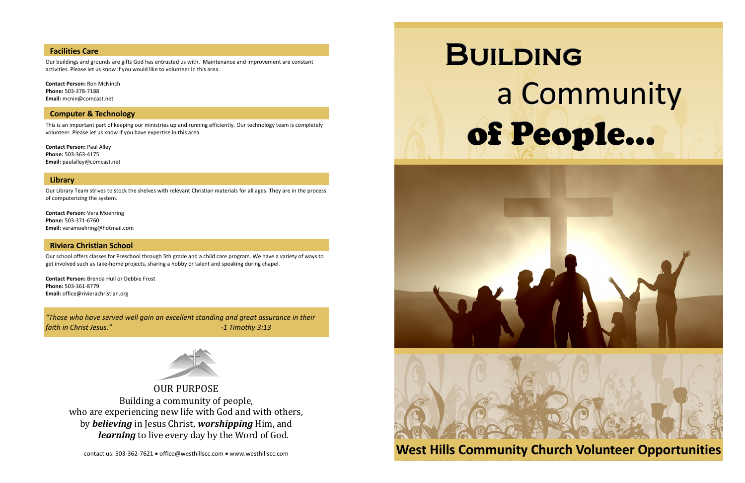OUR PURPOSE Building a community of people, who are experiencing new life with God and with others, by *believing* in Jesus Christ, *worshipping* Him, and *learning* to live every day by the Word of God.

contact us: 503-362-7621 · office@westhillscc.com · www.westhillscc.com

# **Computer & Technology**

This is an important part of keeping our ministries up and running efficiently. Our technology team is completely volunteer. Please let us know if you have expertise in this area.

**Contact Person:** Paul Alley **Phone:** 503-363-4175 **Email:** paulalley@comcast.net

# **Library**

Our Library Team strives to stock the shelves with relevant Christian materials for all ages. They are in the process of computerizing the system.

**Contact Person:** Vera Moehring **Phone:** 503-371-6760 **Email:** veramoehring@hotmail.com

# **Riviera Christian School**

# **BUILDING**  a Community of People…



Our school offers classes for Preschool through 5th grade and a child care program. We have a variety of ways to get involved such as take-home projects, sharing a hobby or talent and speaking during chapel.

**Contact Person:** Brenda Hull or Debbie Frost **Phone:** 503-361-8779 **Email:** office@rivierachristian.org

*"Those who have served well gain an excellent standing and great assurance in their faith in Christ Jesus." -1 Timothy 3:13*



# **Facilities Care**

Our buildings and grounds are gifts God has entrusted us with. Maintenance and improvement are constant activities. Please let us know if you would like to volunteer in this area.

**Contact Person:** Ron McNinch **Phone:** 503-378-7188 **Email:** mcnin@comcast.net

# **West Hills Community Church Volunteer Opportunities**